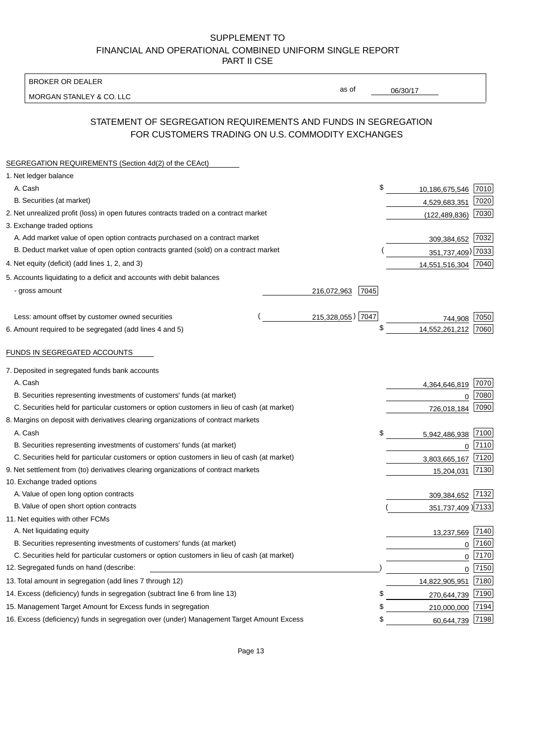BROKER OR DEALER

MORGAN STANLEY & CO. LLC

06/30/17

as of

# STATEMENT OF SEGREGATION REQUIREMENTS AND FUNDS IN SEGREGATION FOR CUSTOMERS TRADING ON U.S. COMMODITY EXCHANGES

| SEGREGATION REQUIREMENTS (Section 4d(2) of the CEAct)                                       |                     |                     |      |
|---------------------------------------------------------------------------------------------|---------------------|---------------------|------|
| 1. Net ledger balance                                                                       |                     |                     |      |
| A. Cash                                                                                     | \$                  | 10,186,675,546      | 7010 |
| B. Securities (at market)                                                                   |                     | 4,529,683,351       | 7020 |
| 2. Net unrealized profit (loss) in open futures contracts traded on a contract market       |                     | (122, 489, 836)     | 7030 |
| 3. Exchange traded options                                                                  |                     |                     |      |
| A. Add market value of open option contracts purchased on a contract market                 |                     | 309,384,652         | 7032 |
| B. Deduct market value of open option contracts granted (sold) on a contract market         |                     | 351,737,409) 7033   |      |
| 4. Net equity (deficit) (add lines 1, 2, and 3)                                             |                     | 14,551,516,304 7040 |      |
| 5. Accounts liquidating to a deficit and accounts with debit balances                       |                     |                     |      |
| - gross amount                                                                              | 216,072,963<br>7045 |                     |      |
|                                                                                             |                     |                     |      |
| Less: amount offset by customer owned securities                                            | 215,328,055) 7047   | 744.908             | 7050 |
| 6. Amount required to be segregated (add lines 4 and 5)                                     | \$                  | 14,552,261,212      | 7060 |
|                                                                                             |                     |                     |      |
| FUNDS IN SEGREGATED ACCOUNTS                                                                |                     |                     |      |
| 7. Deposited in segregated funds bank accounts                                              |                     |                     |      |
| A. Cash                                                                                     |                     | 4,364,646,819       | 7070 |
| B. Securities representing investments of customers' funds (at market)                      |                     | $\Omega$            | 7080 |
| C. Securities held for particular customers or option customers in lieu of cash (at market) |                     | 726,018,184         | 7090 |
| 8. Margins on deposit with derivatives clearing organizations of contract markets           |                     |                     |      |
| A. Cash                                                                                     | \$                  | 5,942,486,938       | 7100 |
| B. Securities representing investments of customers' funds (at market)                      |                     | $\overline{0}$      | 7110 |
| C. Securities held for particular customers or option customers in lieu of cash (at market) |                     | 3,803,665,167       | 7120 |
| 9. Net settlement from (to) derivatives clearing organizations of contract markets          |                     | 15,204,031          | 7130 |
| 10. Exchange traded options                                                                 |                     |                     |      |
| A. Value of open long option contracts                                                      |                     | 309,384,652         | 7132 |
| B. Value of open short option contracts                                                     |                     | 351,737,409 7133    |      |
| 11. Net equities with other FCMs                                                            |                     |                     |      |
| A. Net liquidating equity                                                                   |                     | 13,237,569          | 7140 |
| B. Securities representing investments of customers' funds (at market)                      |                     | $\Omega$            | 7160 |
| C. Securities held for particular customers or option customers in lieu of cash (at market) |                     | $\mathbf 0$         | 7170 |
| 12. Segregated funds on hand (describe:                                                     |                     | $\mathbf 0$         | 7150 |
| 13. Total amount in segregation (add lines 7 through 12)                                    |                     | 14,822,905,951      | 7180 |
| 14. Excess (deficiency) funds in segregation (subtract line 6 from line 13)                 | S                   | 270,644,739         | 7190 |
| 15. Management Target Amount for Excess funds in segregation                                | \$                  | 210,000,000         | 7194 |
| 16. Excess (deficiency) funds in segregation over (under) Management Target Amount Excess   | \$                  | 60,644,739          | 7198 |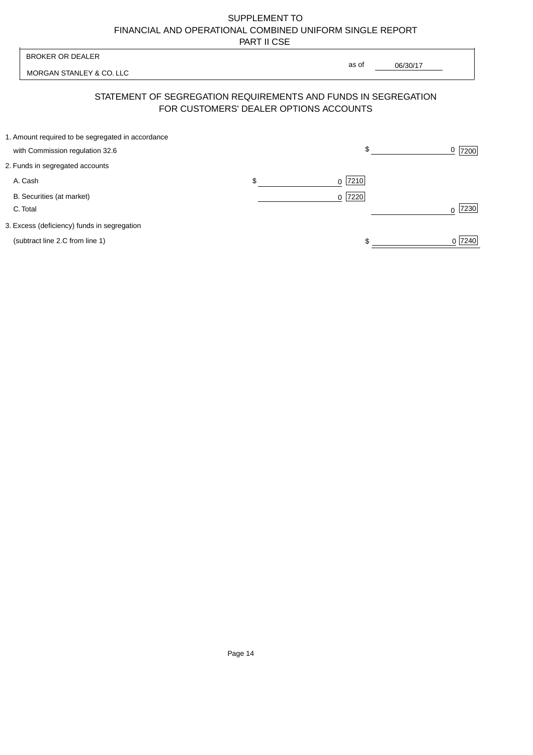| <b>BROKER OR DEALER</b>                                                              | as of                                  |          |                  |
|--------------------------------------------------------------------------------------|----------------------------------------|----------|------------------|
| MORGAN STANLEY & CO. LLC                                                             |                                        | 06/30/17 |                  |
| STATEMENT OF SEGREGATION REQUIREMENTS AND FUNDS IN SEGREGATION                       | FOR CUSTOMERS' DEALER OPTIONS ACCOUNTS |          |                  |
| 1. Amount required to be segregated in accordance<br>with Commission regulation 32.6 | \$                                     |          | 0<br>7200        |
| 2. Funds in segregated accounts                                                      |                                        |          |                  |
| A. Cash                                                                              | \$<br>7210<br><sup>0</sup>             |          |                  |
| B. Securities (at market)<br>C. Total                                                | $0$  7220                              |          | 7230<br>$\Omega$ |
| 3. Excess (deficiency) funds in segregation                                          |                                        |          |                  |
| (subtract line 2.C from line 1)                                                      |                                        |          | 0 7240           |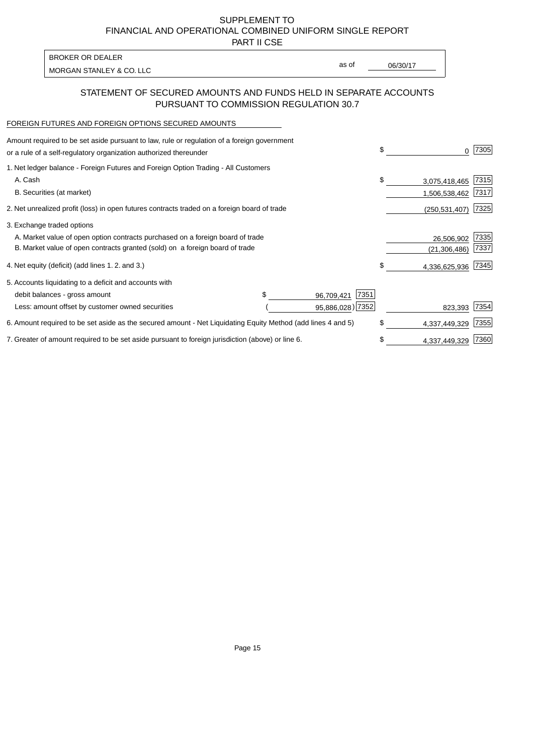PART II CSE

| <b>BROKER OR DEALER</b>  |       |          |
|--------------------------|-------|----------|
|                          | as of | 06/30/17 |
| MORGAN STANLEY & CO. LLC |       |          |

### STATEMENT OF SECURED AMOUNTS AND FUNDS HELD IN SEPARATE ACCOUNTS PURSUANT TO COMMISSION REGULATION 30.7

#### FOREIGN FUTURES AND FOREIGN OPTIONS SECURED AMOUNTS

| Amount required to be set aside pursuant to law, rule or regulation of a foreign government<br>or a rule of a self-regulatory organization authorized thereunder | \$                  | 0               | 7305 |
|------------------------------------------------------------------------------------------------------------------------------------------------------------------|---------------------|-----------------|------|
| 1. Net ledger balance - Foreign Futures and Foreign Option Trading - All Customers                                                                               |                     |                 |      |
| A. Cash                                                                                                                                                          | \$                  | 3,075,418,465   | 7315 |
| B. Securities (at market)                                                                                                                                        |                     | 1,506,538,462   | 7317 |
| 2. Net unrealized profit (loss) in open futures contracts traded on a foreign board of trade                                                                     |                     | (250, 531, 407) | 7325 |
| 3. Exchange traded options                                                                                                                                       |                     |                 |      |
| A. Market value of open option contracts purchased on a foreign board of trade                                                                                   |                     | 26,506,902      | 7335 |
| B. Market value of open contracts granted (sold) on a foreign board of trade                                                                                     |                     | (21, 306, 486)  | 7337 |
| 4. Net equity (deficit) (add lines 1.2. and 3.)                                                                                                                  | \$.                 | 4,336,625,936   | 7345 |
| 5. Accounts liquidating to a deficit and accounts with                                                                                                           |                     |                 |      |
| debit balances - gross amount                                                                                                                                    | 7351<br>96,709,421  |                 |      |
| Less: amount offset by customer owned securities                                                                                                                 | 95,886,028) 7352    | 823,393         | 7354 |
| 6. Amount required to be set aside as the secured amount - Net Liquidating Equity Method (add lines 4 and 5)                                                     | \$                  | 4,337,449,329   | 7355 |
| 7. Greater of amount required to be set aside pursuant to foreign jurisdiction (above) or line 6.                                                                | \$<br>4,337,449,329 | 7360            |      |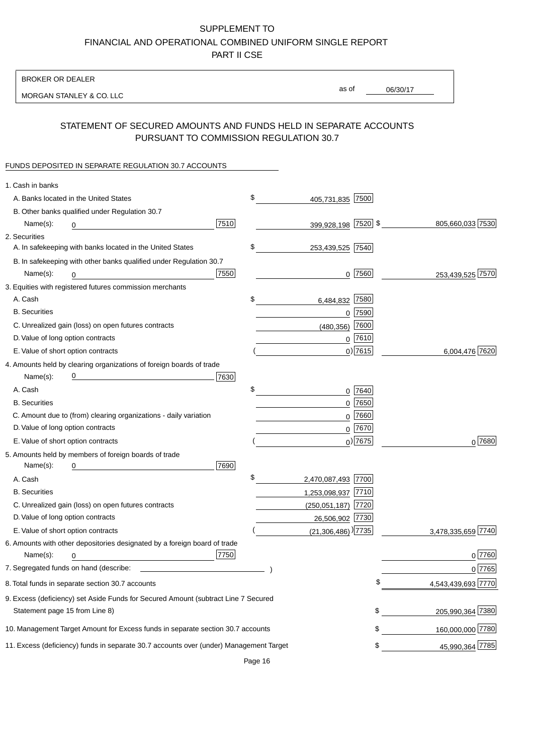BROKER OR DEALER

MORGAN STANLEY & CO. LLC

06/30/17 as of

## STATEMENT OF SECURED AMOUNTS AND FUNDS HELD IN SEPARATE ACCOUNTS PURSUANT TO COMMISSION REGULATION 30.7

### FUNDS DEPOSITED IN SEPARATE REGULATION 30.7 ACCOUNTS

| 1. Cash in banks                   |                                                                                                                                                                                                                                |      |                                    |             |                    |
|------------------------------------|--------------------------------------------------------------------------------------------------------------------------------------------------------------------------------------------------------------------------------|------|------------------------------------|-------------|--------------------|
|                                    | A. Banks located in the United States                                                                                                                                                                                          |      | \$<br>405,731,835 7500             |             |                    |
|                                    | B. Other banks qualified under Regulation 30.7                                                                                                                                                                                 |      |                                    |             |                    |
| Name(s):                           | 0                                                                                                                                                                                                                              | 7510 | 399,928,198 7520 \$                |             | 805,660,033 7530   |
| 2. Securities                      |                                                                                                                                                                                                                                |      |                                    |             |                    |
|                                    | A. In safekeeping with banks located in the United States                                                                                                                                                                      |      | \$<br>253,439,525 7540             |             |                    |
|                                    | B. In safekeeping with other banks qualified under Regulation 30.7                                                                                                                                                             |      |                                    |             |                    |
| Name(s):                           | 0                                                                                                                                                                                                                              | 7550 |                                    | $0$  7560   | 253,439,525 7570   |
|                                    | 3. Equities with registered futures commission merchants                                                                                                                                                                       |      |                                    |             |                    |
| A. Cash                            |                                                                                                                                                                                                                                |      | \$<br>6,484,832                    | 7580        |                    |
| <b>B.</b> Securities               |                                                                                                                                                                                                                                |      |                                    | $0$ 7590    |                    |
|                                    | C. Unrealized gain (loss) on open futures contracts                                                                                                                                                                            |      | (480, 356)                         | 7600        |                    |
| D. Value of long option contracts  |                                                                                                                                                                                                                                |      |                                    | $0$ 7610    |                    |
| E. Value of short option contracts |                                                                                                                                                                                                                                |      |                                    | $0)$ 7615   | 6,004,476 7620     |
|                                    | 4. Amounts held by clearing organizations of foreign boards of trade                                                                                                                                                           |      |                                    |             |                    |
| Name(s):                           |                                                                                                                                                                                                                                | 7630 |                                    |             |                    |
| A. Cash                            |                                                                                                                                                                                                                                |      | \$                                 | 0 7640      |                    |
| <b>B.</b> Securities               |                                                                                                                                                                                                                                |      |                                    | $0$ 7650    |                    |
|                                    | C. Amount due to (from) clearing organizations - daily variation                                                                                                                                                               |      | 0                                  | 7660        |                    |
| D. Value of long option contracts  |                                                                                                                                                                                                                                |      |                                    | 0 7670      |                    |
| E. Value of short option contracts |                                                                                                                                                                                                                                |      |                                    | $_0$ ) 7675 | 0 7680             |
|                                    | 5. Amounts held by members of foreign boards of trade                                                                                                                                                                          |      |                                    |             |                    |
| Name(s):                           | 0                                                                                                                                                                                                                              | 7690 |                                    |             |                    |
| A. Cash                            |                                                                                                                                                                                                                                |      | \$<br>2,470,087,493 7700           |             |                    |
| <b>B.</b> Securities               |                                                                                                                                                                                                                                |      | 1,253,098,937 7710                 |             |                    |
|                                    | C. Unrealized gain (loss) on open futures contracts                                                                                                                                                                            |      | (250,051,187) 7720                 |             |                    |
| D. Value of long option contracts  |                                                                                                                                                                                                                                |      | 26,506,902 7730                    |             |                    |
| E. Value of short option contracts |                                                                                                                                                                                                                                |      | $(21,306,486)$ <sup>)</sup> $7735$ |             | 3,478,335,659 7740 |
|                                    | 6. Amounts with other depositories designated by a foreign board of trade                                                                                                                                                      |      |                                    |             |                    |
| Name(s):                           | 0                                                                                                                                                                                                                              | 7750 |                                    |             | 0 7760             |
|                                    | 7. Segregated funds on hand (describe: \\square\\square\\square\\square\\square\\square\\square\\square\\square\\square\\square\\square\\square\\square\\square\\square\\square\\square\\square\\square\\square\\square\\squar |      |                                    |             | 0 7765             |
|                                    | 8. Total funds in separate section 30.7 accounts                                                                                                                                                                               |      |                                    |             | 4,543,439,693 7770 |
|                                    | 9. Excess (deficiency) set Aside Funds for Secured Amount (subtract Line 7 Secured                                                                                                                                             |      |                                    |             |                    |
| Statement page 15 from Line 8)     |                                                                                                                                                                                                                                |      |                                    | \$          | 205,990,364 7380   |
|                                    | 10. Management Target Amount for Excess funds in separate section 30.7 accounts                                                                                                                                                |      |                                    | \$          | 160,000,000 7780   |
|                                    | 11. Excess (deficiency) funds in separate 30.7 accounts over (under) Management Target                                                                                                                                         |      |                                    | \$          | 45,990,364 7785    |
|                                    |                                                                                                                                                                                                                                |      |                                    |             |                    |